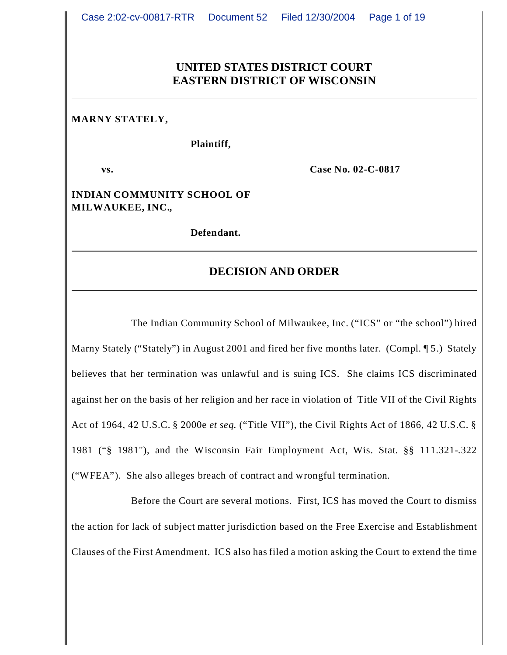# **UNITED STATES DISTRICT COURT EASTERN DISTRICT OF WISCONSIN**

#### **MARNY STATELY,**

#### **Plaintiff,**

**vs. Case No. 02-C-0817**

**INDIAN COMMUNITY SCHOOL OF MILWAUKEE, INC.,**

**Defendant.**

#### **DECISION AND ORDER**

The Indian Community School of Milwaukee, Inc. ("ICS" or "the school") hired Marny Stately ("Stately") in August 2001 and fired her five months later. (Compl. 15.) Stately believes that her termination was unlawful and is suing ICS. She claims ICS discriminated against her on the basis of her religion and her race in violation of Title VII of the Civil Rights Act of 1964, 42 U.S.C. § 2000e *et seq.* ("Title VII"), the Civil Rights Act of 1866, 42 U.S.C. § 1981 ("§ 1981"), and the Wisconsin Fair Employment Act, Wis. Stat. §§ 111.321-.322 ("WFEA"). She also alleges breach of contract and wrongful termination.

Before the Court are several motions. First, ICS has moved the Court to dismiss the action for lack of subject matter jurisdiction based on the Free Exercise and Establishment Clauses of the First Amendment. ICS also has filed a motion asking the Court to extend the time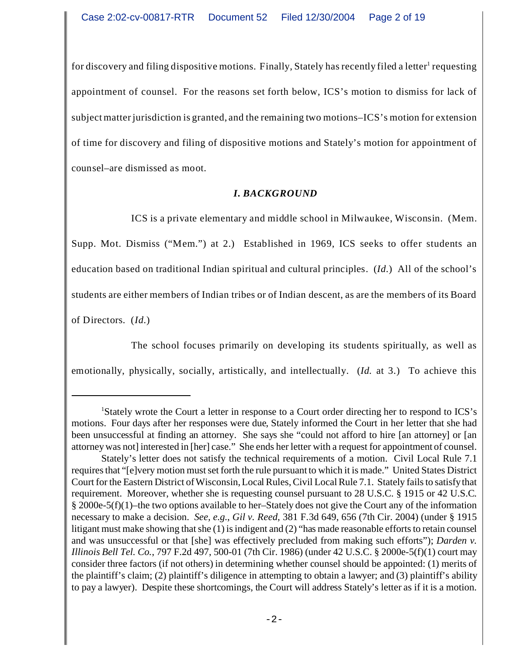for discovery and filing dispositive motions. Finally, Stately has recently filed a letter<sup>1</sup> requesting appointment of counsel. For the reasons set forth below, ICS's motion to dismiss for lack of subject matter jurisdiction is granted, and the remaining two motions–ICS's motion for extension of time for discovery and filing of dispositive motions and Stately's motion for appointment of counsel–are dismissed as moot.

# *I. BACKGROUND*

ICS is a private elementary and middle school in Milwaukee, Wisconsin. (Mem. Supp. Mot. Dismiss ("Mem.") at 2.) Established in 1969, ICS seeks to offer students an education based on traditional Indian spiritual and cultural principles. (*Id.*) All of the school's students are either members of Indian tribes or of Indian descent, as are the members of its Board of Directors. (*Id.*)

The school focuses primarily on developing its students spiritually, as well as

emotionally, physically, socially, artistically, and intellectually. (*Id.* at 3.) To achieve this

<sup>&</sup>lt;sup>1</sup>Stately wrote the Court a letter in response to a Court order directing her to respond to ICS's motions. Four days after her responses were due, Stately informed the Court in her letter that she had been unsuccessful at finding an attorney. She says she "could not afford to hire [an attorney] or [an attorney was not] interested in [her] case." She ends her letter with a request for appointment of counsel.

Stately's letter does not satisfy the technical requirements of a motion. Civil Local Rule 7.1 requires that "[e]very motion must set forth the rule pursuant to which it is made." United States District Court for the Eastern District of Wisconsin, Local Rules, Civil Local Rule 7.1. Stately fails to satisfy that requirement. Moreover, whether she is requesting counsel pursuant to 28 U.S.C. § 1915 or 42 U.S.C. § 2000e-5(f)(1)–the two options available to her–Stately does not give the Court any of the information necessary to make a decision. *See, e.g.*, *Gil v. Reed*, 381 F.3d 649, 656 (7th Cir. 2004) (under § 1915 litigant must make showing that she (1) is indigent and (2) "has made reasonable efforts to retain counsel and was unsuccessful or that [she] was effectively precluded from making such efforts"); *Darden v. Illinois Bell Tel. Co.*, 797 F.2d 497, 500-01 (7th Cir. 1986) (under 42 U.S.C. § 2000e-5(f)(1) court may consider three factors (if not others) in determining whether counsel should be appointed: (1) merits of the plaintiff's claim; (2) plaintiff's diligence in attempting to obtain a lawyer; and (3) plaintiff's ability to pay a lawyer). Despite these shortcomings, the Court will address Stately's letter as if it is a motion.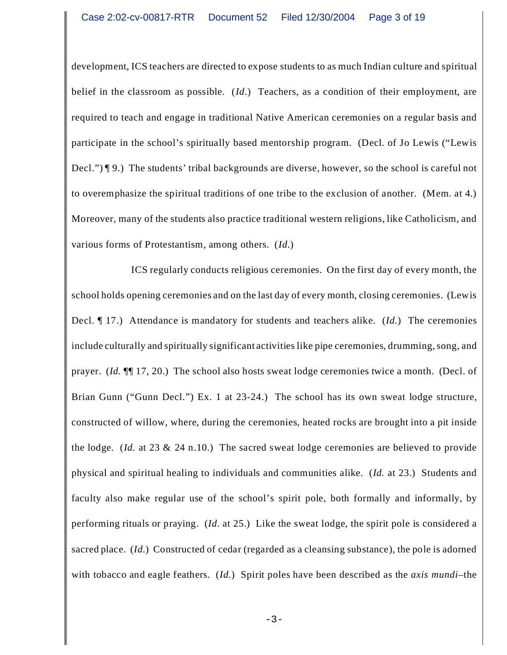development, ICS teachers are directed to expose students to as much Indian culture and spiritual belief in the classroom as possible. (*Id*.) Teachers, as a condition of their employment, are required to teach and engage in traditional Native American ceremonies on a regular basis and participate in the school's spiritually based mentorship program. (Decl. of Jo Lewis ("Lewis Decl.") ¶ 9.) The students' tribal backgrounds are diverse, however, so the school is careful not to overemphasize the spiritual traditions of one tribe to the exclusion of another. (Mem. at 4.) Moreover, many of the students also practice traditional western religions, like Catholicism, and various forms of Protestantism, among others. (*Id.*)

ICS regularly conducts religious ceremonies. On the first day of every month, the school holds opening ceremonies and on the last day of every month, closing ceremonies. (Lewis Decl. ¶ 17.) Attendance is mandatory for students and teachers alike. (*Id.*) The ceremonies include culturally and spiritually significant activities like pipe ceremonies, drumming, song, and prayer. (*Id.* ¶¶ 17, 20.) The school also hosts sweat lodge ceremonies twice a month. (Decl. of Brian Gunn ("Gunn Decl.") Ex. 1 at 23-24.) The school has its own sweat lodge structure, constructed of willow, where, during the ceremonies, heated rocks are brought into a pit inside the lodge. (*Id.* at 23 & 24 n.10.) The sacred sweat lodge ceremonies are believed to provide physical and spiritual healing to individuals and communities alike. (*Id.* at 23.) Students and faculty also make regular use of the school's spirit pole, both formally and informally, by performing rituals or praying. (*Id.* at 25.) Like the sweat lodge, the spirit pole is considered a sacred place. (*Id.*) Constructed of cedar (regarded as a cleansing substance), the pole is adorned with tobacco and eagle feathers. (*Id.*) Spirit poles have been described as the *axis mundi*–the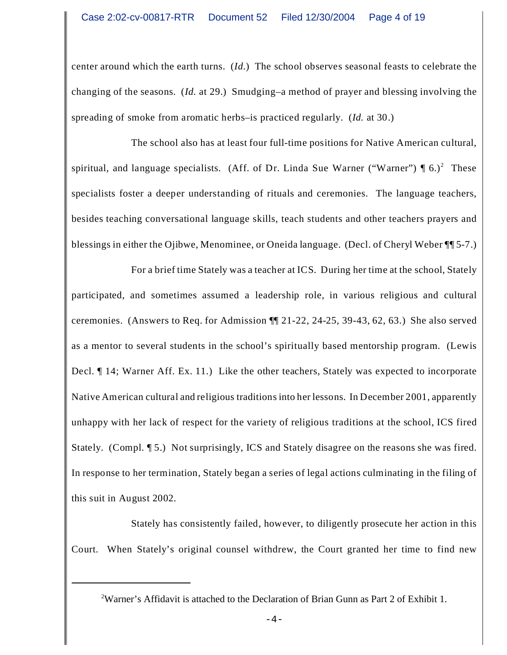center around which the earth turns. (*Id.*) The school observes seasonal feasts to celebrate the changing of the seasons. (*Id.* at 29.) Smudging–a method of prayer and blessing involving the spreading of smoke from aromatic herbs–is practiced regularly. (*Id.* at 30.)

The school also has at least four full-time positions for Native American cultural, spiritual, and language specialists. (Aff. of Dr. Linda Sue Warner ("Warner")  $\P(6.)^2$  These specialists foster a deeper understanding of rituals and ceremonies. The language teachers, besides teaching conversational language skills, teach students and other teachers prayers and blessings in either the Ojibwe, Menominee, or Oneida language. (Decl. of Cheryl Weber ¶¶ 5-7.)

For a brief time Stately was a teacher at ICS. During her time at the school, Stately participated, and sometimes assumed a leadership role, in various religious and cultural ceremonies. (Answers to Req. for Admission ¶¶ 21-22, 24-25, 39-43, 62, 63.) She also served as a mentor to several students in the school's spiritually based mentorship program. (Lewis Decl. ¶ 14; Warner Aff. Ex. 11.) Like the other teachers, Stately was expected to incorporate Native American cultural and religious traditions into her lessons. In December 2001, apparently unhappy with her lack of respect for the variety of religious traditions at the school, ICS fired Stately. (Compl. ¶ 5.) Not surprisingly, ICS and Stately disagree on the reasons she was fired. In response to her termination, Stately began a series of legal actions culminating in the filing of this suit in August 2002.

Stately has consistently failed, however, to diligently prosecute her action in this Court. When Stately's original counsel withdrew, the Court granted her time to find new

<sup>2</sup>Warner's Affidavit is attached to the Declaration of Brian Gunn as Part 2 of Exhibit 1.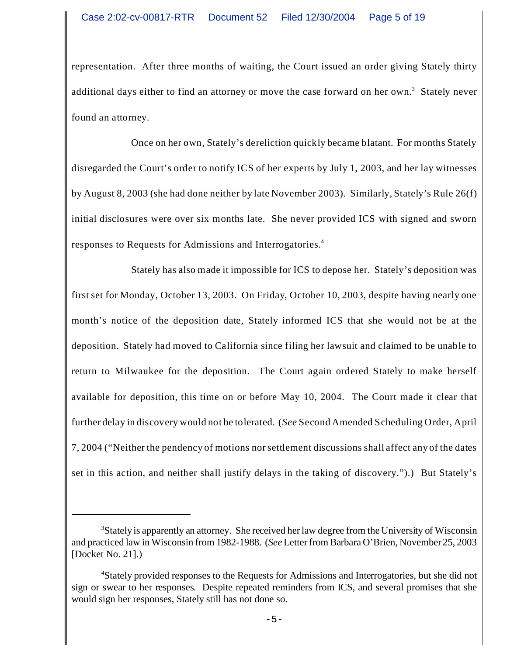representation. After three months of waiting, the Court issued an order giving Stately thirty additional days either to find an attorney or move the case forward on her own.<sup>3</sup> Stately never found an attorney.

Once on her own, Stately's dereliction quickly became blatant. For months Stately disregarded the Court's order to notify ICS of her experts by July 1, 2003, and her lay witnesses by August 8, 2003 (she had done neither by late November 2003). Similarly, Stately's Rule 26(f) initial disclosures were over six months late. She never provided ICS with signed and sworn responses to Requests for Admissions and Interrogatories.<sup>4</sup>

Stately has also made it impossible for ICS to depose her. Stately's deposition was first set for Monday, October 13, 2003. On Friday, October 10, 2003, despite having nearly one month's notice of the deposition date, Stately informed ICS that she would not be at the deposition. Stately had moved to California since filing her lawsuit and claimed to be unable to return to Milwaukee for the deposition. The Court again ordered Stately to make herself available for deposition, this time on or before May 10, 2004. The Court made it clear that further delay in discovery would not be tolerated. (*See* Second Amended Scheduling Order, April 7, 2004 ("Neither the pendency of motions nor settlement discussions shall affect any of the dates set in this action, and neither shall justify delays in the taking of discovery.").) But Stately's

<sup>3</sup>Stately is apparently an attorney. She received her law degree from the University of Wisconsin and practiced law in Wisconsin from 1982-1988. (*See* Letter from Barbara O'Brien, November 25, 2003 [Docket No. 21].)

<sup>4</sup>Stately provided responses to the Requests for Admissions and Interrogatories, but she did not sign or swear to her responses. Despite repeated reminders from ICS, and several promises that she would sign her responses, Stately still has not done so.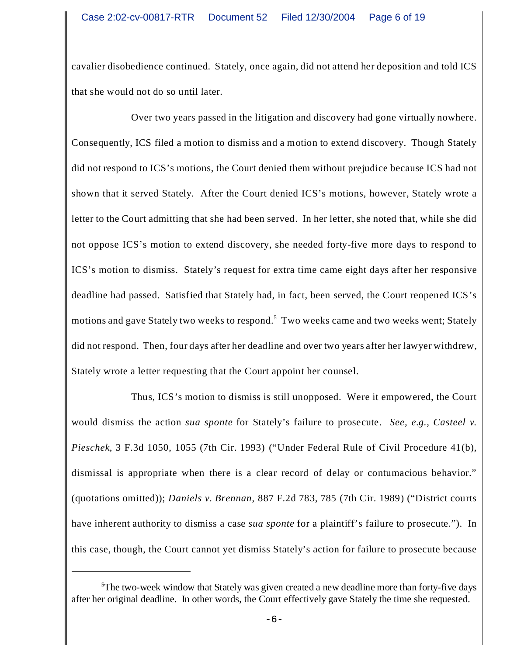cavalier disobedience continued. Stately, once again, did not attend her deposition and told ICS that she would not do so until later.

Over two years passed in the litigation and discovery had gone virtually nowhere. Consequently, ICS filed a motion to dismiss and a motion to extend discovery. Though Stately did not respond to ICS's motions, the Court denied them without prejudice because ICS had not shown that it served Stately. After the Court denied ICS's motions, however, Stately wrote a letter to the Court admitting that she had been served. In her letter, she noted that, while she did not oppose ICS's motion to extend discovery, she needed forty-five more days to respond to ICS's motion to dismiss. Stately's request for extra time came eight days after her responsive deadline had passed. Satisfied that Stately had, in fact, been served, the Court reopened ICS's motions and gave Stately two weeks to respond.<sup>5</sup> Two weeks came and two weeks went; Stately did not respond. Then, four days after her deadline and over two years after her lawyer withdrew, Stately wrote a letter requesting that the Court appoint her counsel.

Thus, ICS's motion to dismiss is still unopposed. Were it empowered, the Court would dismiss the action *sua sponte* for Stately's failure to prosecute. *See, e.g.*, *Casteel v. Pieschek*, 3 F.3d 1050, 1055 (7th Cir. 1993) ("Under Federal Rule of Civil Procedure 41(b), dismissal is appropriate when there is a clear record of delay or contumacious behavior." (quotations omitted)); *Daniels v. Brennan*, 887 F.2d 783, 785 (7th Cir. 1989) ("District courts have inherent authority to dismiss a case *sua sponte* for a plaintiff's failure to prosecute."). In this case, though, the Court cannot yet dismiss Stately's action for failure to prosecute because

<sup>5</sup>The two-week window that Stately was given created a new deadline more than forty-five days after her original deadline. In other words, the Court effectively gave Stately the time she requested.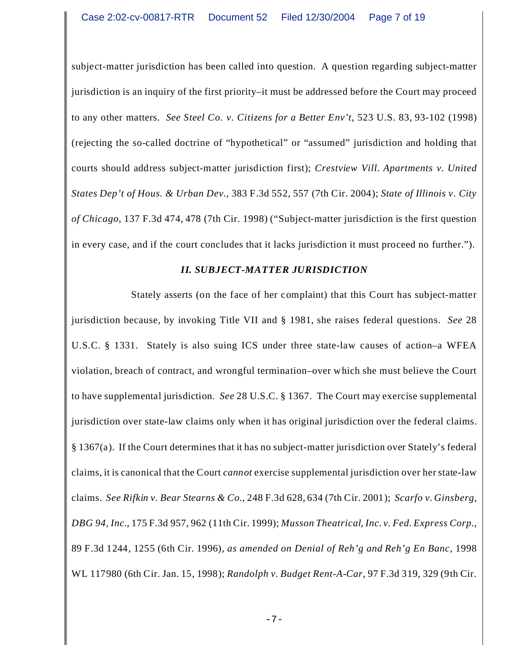subject-matter jurisdiction has been called into question. A question regarding subject-matter jurisdiction is an inquiry of the first priority–it must be addressed before the Court may proceed to any other matters. *See Steel Co. v. Citizens for a Better Env't*, 523 U.S. 83, 93-102 (1998) (rejecting the so-called doctrine of "hypothetical" or "assumed" jurisdiction and holding that courts should address subject-matter jurisdiction first); *Crestview Vill. Apartments v. United States Dep't of Hous. & Urban Dev.*, 383 F.3d 552, 557 (7th Cir. 2004); *State of Illinois v. City of Chicago*, 137 F.3d 474, 478 (7th Cir. 1998) ("Subject-matter jurisdiction is the first question in every case, and if the court concludes that it lacks jurisdiction it must proceed no further.").

#### *II. SUBJECT-MATTER JURISDICTION*

Stately asserts (on the face of her complaint) that this Court has subject-matter jurisdiction because, by invoking Title VII and § 1981, she raises federal questions. *See* 28 U.S.C. § 1331. Stately is also suing ICS under three state-law causes of action–a WFEA violation, breach of contract, and wrongful termination–over which she must believe the Court to have supplemental jurisdiction. *See* 28 U.S.C. § 1367. The Court may exercise supplemental jurisdiction over state-law claims only when it has original jurisdiction over the federal claims. § 1367(a). If the Court determines that it has no subject-matter jurisdiction over Stately's federal claims, it is canonical that the Court *cannot* exercise supplemental jurisdiction over her state-law claims. *See Rifkin v. Bear Stearns & Co.*, 248 F.3d 628, 634 (7th Cir. 2001); *Scarfo v. Ginsberg, DBG 94, Inc.*, 175 F.3d 957, 962 (11th Cir. 1999); *Musson Theatrical, Inc. v. Fed. Express Corp.*, 89 F.3d 1244, 1255 (6th Cir. 1996), *as amended on Denial of Reh'g and Reh'g En Banc*, 1998 WL 117980 (6th Cir. Jan. 15, 1998); *Randolph v. Budget Rent-A-Car*, 97 F.3d 319, 329 (9th Cir.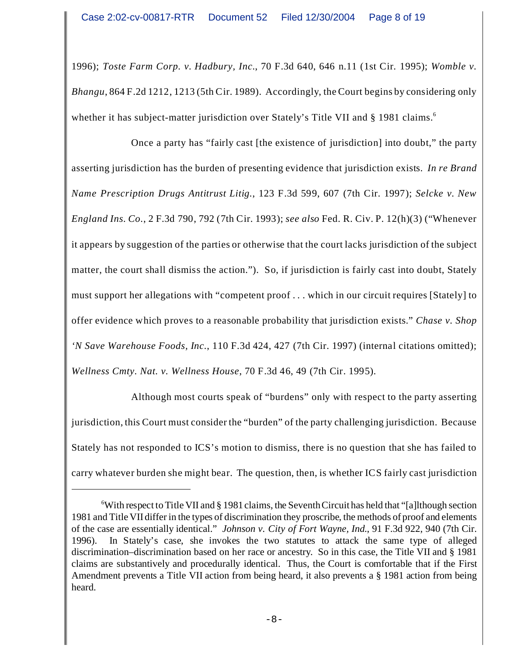1996); *Toste Farm Corp. v. Hadbury, Inc.*, 70 F.3d 640, 646 n.11 (1st Cir. 1995); *Womble v. Bhangu*, 864 F.2d 1212, 1213 (5th Cir. 1989). Accordingly, the Court begins by considering only whether it has subject-matter jurisdiction over Stately's Title VII and § 1981 claims.<sup>6</sup>

Once a party has "fairly cast [the existence of jurisdiction] into doubt," the party asserting jurisdiction has the burden of presenting evidence that jurisdiction exists. *In re Brand Name Prescription Drugs Antitrust Litig.*, 123 F.3d 599, 607 (7th Cir. 1997); *Selcke v. New England Ins. Co.*, 2 F.3d 790, 792 (7th Cir. 1993); *see also* Fed. R. Civ. P. 12(h)(3) ("Whenever it appears by suggestion of the parties or otherwise that the court lacks jurisdiction of the subject matter, the court shall dismiss the action."). So, if jurisdiction is fairly cast into doubt, Stately must support her allegations with "competent proof . . . which in our circuit requires [Stately] to offer evidence which proves to a reasonable probability that jurisdiction exists." *Chase v. Shop 'N Save Warehouse Foods, Inc.*, 110 F.3d 424, 427 (7th Cir. 1997) (internal citations omitted); *Wellness Cmty. Nat. v. Wellness House*, 70 F.3d 46, 49 (7th Cir. 1995).

Although most courts speak of "burdens" only with respect to the party asserting jurisdiction, this Court must consider the "burden" of the party challenging jurisdiction. Because Stately has not responded to ICS's motion to dismiss, there is no question that she has failed to carry whatever burden she might bear. The question, then, is whether ICS fairly cast jurisdiction

<sup>6</sup>With respect to Title VII and § 1981 claims, the Seventh Circuit has held that "[a]lthough section 1981 and Title VII differ in the types of discrimination they proscribe, the methods of proof and elements of the case are essentially identical." *Johnson v. City of Fort Wayne, Ind.*, 91 F.3d 922, 940 (7th Cir. 1996). In Stately's case, she invokes the two statutes to attack the same type of alleged discrimination–discrimination based on her race or ancestry. So in this case, the Title VII and § 1981 claims are substantively and procedurally identical. Thus, the Court is comfortable that if the First Amendment prevents a Title VII action from being heard, it also prevents a § 1981 action from being heard.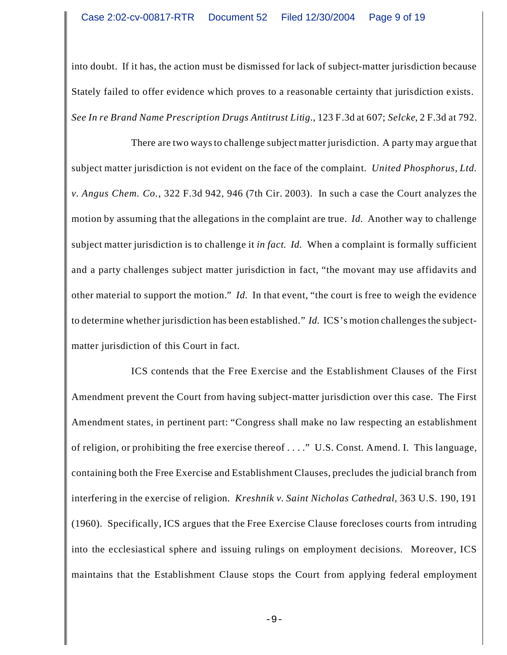into doubt. If it has, the action must be dismissed for lack of subject-matter jurisdiction because Stately failed to offer evidence which proves to a reasonable certainty that jurisdiction exists. *See In re Brand Name Prescription Drugs Antitrust Litig.*, 123 F.3d at 607; *Selcke*, 2 F.3d at 792.

There are two ways to challenge subject matter jurisdiction. A party may argue that subject matter jurisdiction is not evident on the face of the complaint. *United Phosphorus, Ltd. v. Angus Chem. Co.*, 322 F.3d 942, 946 (7th Cir. 2003). In such a case the Court analyzes the motion by assuming that the allegations in the complaint are true. *Id.* Another way to challenge subject matter jurisdiction is to challenge it *in fact*. *Id.* When a complaint is formally sufficient and a party challenges subject matter jurisdiction in fact, "the movant may use affidavits and other material to support the motion." *Id.* In that event, "the court is free to weigh the evidence to determine whether jurisdiction has been established." *Id.* ICS's motion challenges the subjectmatter jurisdiction of this Court in fact.

ICS contends that the Free Exercise and the Establishment Clauses of the First Amendment prevent the Court from having subject-matter jurisdiction over this case. The First Amendment states, in pertinent part: "Congress shall make no law respecting an establishment of religion, or prohibiting the free exercise thereof . . . ." U.S. Const. Amend. I. This language, containing both the Free Exercise and Establishment Clauses, precludes the judicial branch from interfering in the exercise of religion. *Kreshnik v. Saint Nicholas Cathedral*, 363 U.S. 190, 191 (1960). Specifically, ICS argues that the Free Exercise Clause forecloses courts from intruding into the ecclesiastical sphere and issuing rulings on employment decisions. Moreover, ICS maintains that the Establishment Clause stops the Court from applying federal employment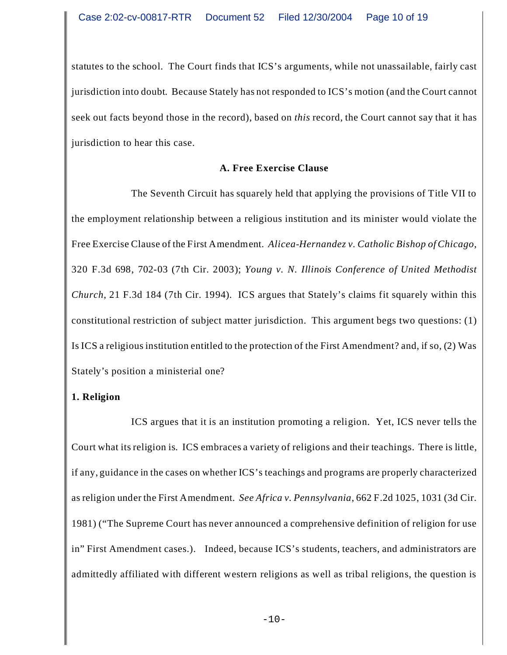statutes to the school. The Court finds that ICS's arguments, while not unassailable, fairly cast jurisdiction into doubt. Because Stately has not responded to ICS's motion (and the Court cannot seek out facts beyond those in the record), based on *this* record, the Court cannot say that it has jurisdiction to hear this case.

#### **A. Free Exercise Clause**

The Seventh Circuit has squarely held that applying the provisions of Title VII to the employment relationship between a religious institution and its minister would violate the Free Exercise Clause of the First Amendment. *Alicea-Hernandez v. Catholic Bishop of Chicago*, 320 F.3d 698, 702-03 (7th Cir. 2003); *Young v. N. Illinois Conference of United Methodist Church*, 21 F.3d 184 (7th Cir. 1994). ICS argues that Stately's claims fit squarely within this constitutional restriction of subject matter jurisdiction. This argument begs two questions: (1) Is ICS a religious institution entitled to the protection of the First Amendment? and, if so, (2) Was Stately's position a ministerial one?

## **1. Religion**

ICS argues that it is an institution promoting a religion. Yet, ICS never tells the Court what its religion is. ICS embraces a variety of religions and their teachings. There is little, if any, guidance in the cases on whether ICS's teachings and programs are properly characterized as religion under the First Amendment. *See Africa v. Pennsylvania*, 662 F.2d 1025, 1031 (3d Cir. 1981) ("The Supreme Court has never announced a comprehensive definition of religion for use in" First Amendment cases.). Indeed, because ICS's students, teachers, and administrators are admittedly affiliated with different western religions as well as tribal religions, the question is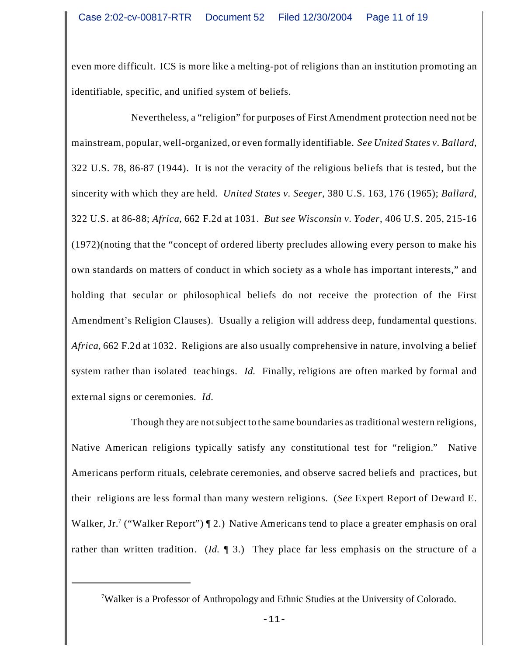even more difficult. ICS is more like a melting-pot of religions than an institution promoting an identifiable, specific, and unified system of beliefs.

Nevertheless, a "religion" for purposes of First Amendment protection need not be mainstream, popular, well-organized, or even formally identifiable. *See United States v. Ballard*, 322 U.S. 78, 86-87 (1944). It is not the veracity of the religious beliefs that is tested, but the sincerity with which they are held. *United States v. Seeger*, 380 U.S. 163, 176 (1965); *Ballard*, 322 U.S. at 86-88; *Africa*, 662 F.2d at 1031. *But see Wisconsin v. Yoder*, 406 U.S. 205, 215-16 (1972)(noting that the "concept of ordered liberty precludes allowing every person to make his own standards on matters of conduct in which society as a whole has important interests," and holding that secular or philosophical beliefs do not receive the protection of the First Amendment's Religion Clauses). Usually a religion will address deep, fundamental questions. *Africa*, 662 F.2d at 1032. Religions are also usually comprehensive in nature, involving a belief system rather than isolated teachings. *Id.* Finally, religions are often marked by formal and external signs or ceremonies. *Id.*

Though they are not subject to the same boundaries as traditional western religions, Native American religions typically satisfy any constitutional test for "religion." Native Americans perform rituals, celebrate ceremonies, and observe sacred beliefs and practices, but their religions are less formal than many western religions. (*See* Expert Report of Deward E. Walker, Jr.<sup>7</sup> ("Walker Report")  $\P$  2.) Native Americans tend to place a greater emphasis on oral rather than written tradition. (*Id.* ¶ 3.) They place far less emphasis on the structure of a

<sup>7</sup>Walker is a Professor of Anthropology and Ethnic Studies at the University of Colorado.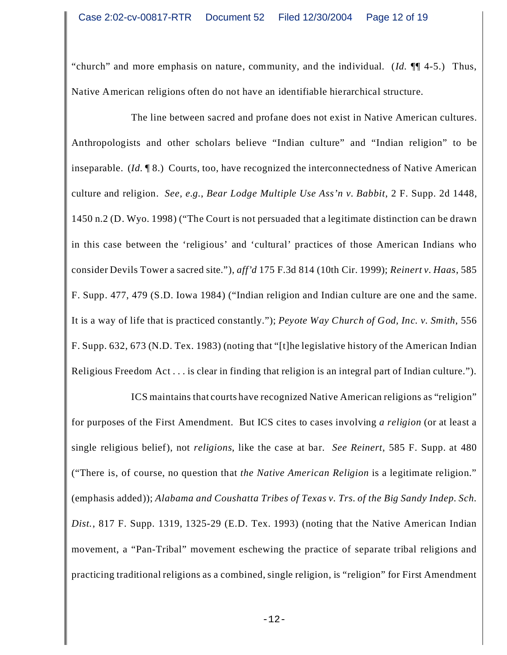"church" and more emphasis on nature, community, and the individual. (*Id.* ¶¶ 4-5.) Thus, Native American religions often do not have an identifiable hierarchical structure.

The line between sacred and profane does not exist in Native American cultures. Anthropologists and other scholars believe "Indian culture" and "Indian religion" to be inseparable. (*Id.* ¶ 8.) Courts, too, have recognized the interconnectedness of Native American culture and religion. *See, e.g.*, *Bear Lodge Multiple Use Ass'n v. Babbit*, 2 F. Supp. 2d 1448, 1450 n.2 (D. Wyo. 1998) ("The Court is not persuaded that a legitimate distinction can be drawn in this case between the 'religious' and 'cultural' practices of those American Indians who consider Devils Tower a sacred site."), *aff'd* 175 F.3d 814 (10th Cir. 1999); *Reinert v. Haas*, 585 F. Supp. 477, 479 (S.D. Iowa 1984) ("Indian religion and Indian culture are one and the same. It is a way of life that is practiced constantly."); *Peyote Way Church of God, Inc. v. Smith*, 556 F. Supp. 632, 673 (N.D. Tex. 1983) (noting that "[t]he legislative history of the American Indian Religious Freedom Act . . . is clear in finding that religion is an integral part of Indian culture.").

ICS maintains that courts have recognized Native American religions as "religion" for purposes of the First Amendment. But ICS cites to cases involving *a religion* (or at least a single religious belief), not *religions*, like the case at bar. *See Reinert*, 585 F. Supp. at 480 ("There is, of course, no question that *the Native American Religion* is a legitimate religion." (emphasis added)); *Alabama and Coushatta Tribes of Texas v. Trs. of the Big Sandy Indep. Sch. Dist.*, 817 F. Supp. 1319, 1325-29 (E.D. Tex. 1993) (noting that the Native American Indian movement, a "Pan-Tribal" movement eschewing the practice of separate tribal religions and practicing traditional religions as a combined, single religion, is "religion" for First Amendment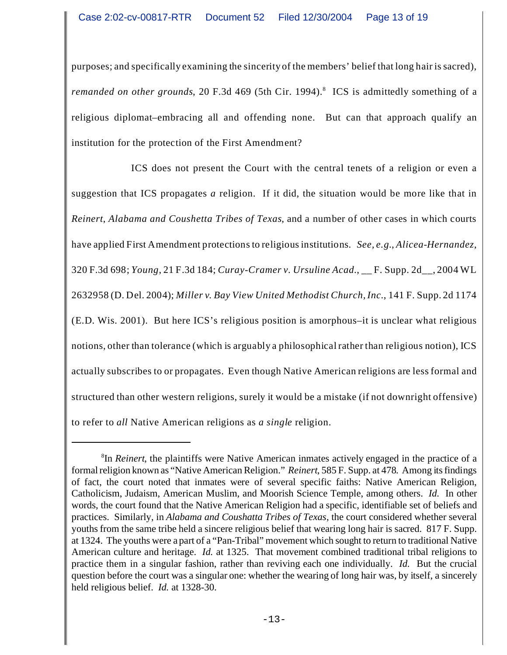purposes; and specifically examining the sincerity of the members' belief that long hair is sacred), remanded on other grounds, 20 F.3d 469 (5th Cir. 1994).<sup>8</sup> ICS is admittedly something of a religious diplomat–embracing all and offending none. But can that approach qualify an institution for the protection of the First Amendment?

ICS does not present the Court with the central tenets of a religion or even a suggestion that ICS propagates *a* religion. If it did, the situation would be more like that in *Reinert*, *Alabama and Coushetta Tribes of Texas*, and a number of other cases in which courts have applied First Amendment protections to religious institutions. *See, e.g.*, *Alicea-Hernandez*, 320 F.3d 698; *Young*, 21 F.3d 184; *Curay-Cramer v. Ursuline Acad.*, \_\_ F. Supp. 2d\_\_, 2004 WL 2632958 (D. Del. 2004); *Miller v. Bay View United Methodist Church, Inc.*, 141 F. Supp. 2d 1174 (E.D. Wis. 2001). But here ICS's religious position is amorphous–it is unclear what religious notions, other than tolerance (which is arguably a philosophical rather than religious notion), ICS actually subscribes to or propagates. Even though Native American religions are less formal and structured than other western religions, surely it would be a mistake (if not downright offensive) to refer to *all* Native American religions as *a single* religion.

<sup>8</sup> In *Reinert*, the plaintiffs were Native American inmates actively engaged in the practice of a formal religion known as "Native American Religion." *Reinert*, 585 F. Supp. at 478. Among its findings of fact, the court noted that inmates were of several specific faiths: Native American Religion, Catholicism, Judaism, American Muslim, and Moorish Science Temple, among others. *Id.* In other words, the court found that the Native American Religion had a specific, identifiable set of beliefs and practices. Similarly, in *Alabama and Coushatta Tribes of Texas*, the court considered whether several youths from the same tribe held a sincere religious belief that wearing long hair is sacred. 817 F. Supp. at 1324. The youths were a part of a "Pan-Tribal" movement which sought to return to traditional Native American culture and heritage. *Id.* at 1325. That movement combined traditional tribal religions to practice them in a singular fashion, rather than reviving each one individually. *Id.* But the crucial question before the court was a singular one: whether the wearing of long hair was, by itself, a sincerely held religious belief. *Id.* at 1328-30.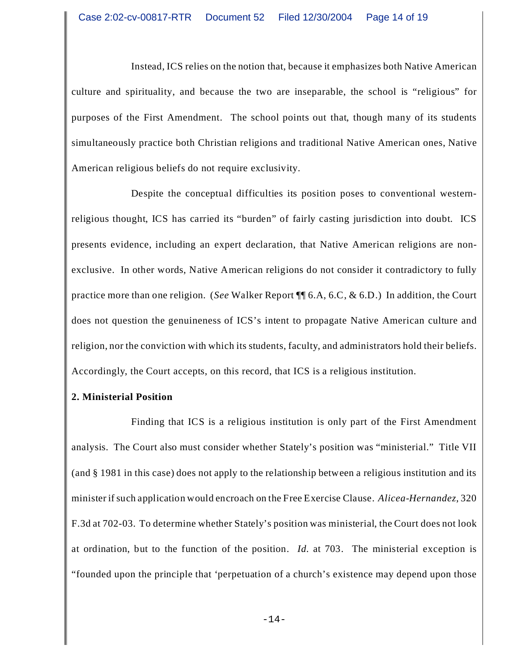Instead, ICS relies on the notion that, because it emphasizes both Native American culture and spirituality, and because the two are inseparable, the school is "religious" for purposes of the First Amendment. The school points out that, though many of its students simultaneously practice both Christian religions and traditional Native American ones, Native American religious beliefs do not require exclusivity.

Despite the conceptual difficulties its position poses to conventional westernreligious thought, ICS has carried its "burden" of fairly casting jurisdiction into doubt. ICS presents evidence, including an expert declaration, that Native American religions are nonexclusive. In other words, Native American religions do not consider it contradictory to fully practice more than one religion. (*See* Walker Report ¶¶ 6.A, 6.C, & 6.D.) In addition, the Court does not question the genuineness of ICS's intent to propagate Native American culture and religion, nor the conviction with which its students, faculty, and administrators hold their beliefs. Accordingly, the Court accepts, on this record, that ICS is a religious institution.

## **2. Ministerial Position**

Finding that ICS is a religious institution is only part of the First Amendment analysis. The Court also must consider whether Stately's position was "ministerial." Title VII (and § 1981 in this case) does not apply to the relationship between a religious institution and its minister if such application would encroach on the Free Exercise Clause. *Alicea-Hernandez*, 320 F.3d at 702-03. To determine whether Stately's position was ministerial, the Court does not look at ordination, but to the function of the position. *Id.* at 703. The ministerial exception is "founded upon the principle that 'perpetuation of a church's existence may depend upon those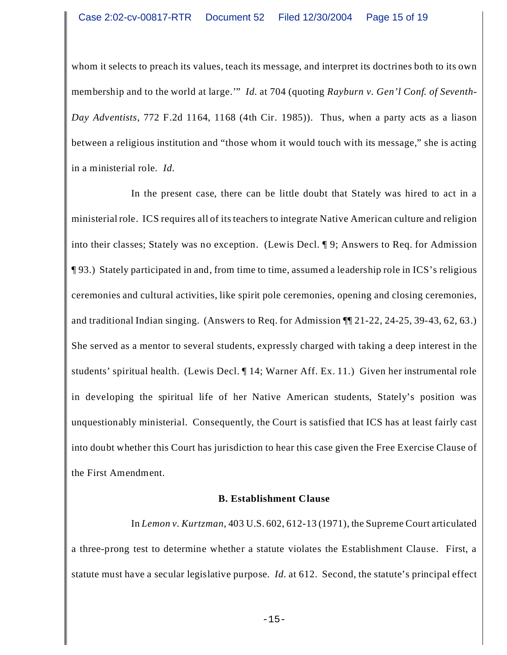whom it selects to preach its values, teach its message, and interpret its doctrines both to its own membership and to the world at large.'" *Id.* at 704 (quoting *Rayburn v. Gen'l Conf. of Seventh-Day Adventists*, 772 F.2d 1164, 1168 (4th Cir. 1985)). Thus, when a party acts as a liason between a religious institution and "those whom it would touch with its message," she is acting in a ministerial role. *Id.*

In the present case, there can be little doubt that Stately was hired to act in a ministerial role. ICS requires all of its teachers to integrate Native American culture and religion into their classes; Stately was no exception. (Lewis Decl. ¶ 9; Answers to Req. for Admission ¶ 93.) Stately participated in and, from time to time, assumed a leadership role in ICS's religious ceremonies and cultural activities, like spirit pole ceremonies, opening and closing ceremonies, and traditional Indian singing. (Answers to Req. for Admission ¶¶ 21-22, 24-25, 39-43, 62, 63.) She served as a mentor to several students, expressly charged with taking a deep interest in the students' spiritual health. (Lewis Decl. ¶ 14; Warner Aff. Ex. 11.) Given her instrumental role in developing the spiritual life of her Native American students, Stately's position was unquestionably ministerial. Consequently, the Court is satisfied that ICS has at least fairly cast into doubt whether this Court has jurisdiction to hear this case given the Free Exercise Clause of the First Amendment.

#### **B. Establishment Clause**

In *Lemon v. Kurtzman*, 403 U.S. 602, 612-13 (1971), the Supreme Court articulated a three-prong test to determine whether a statute violates the Establishment Clause. First, a statute must have a secular legislative purpose. *Id.* at 612. Second, the statute's principal effect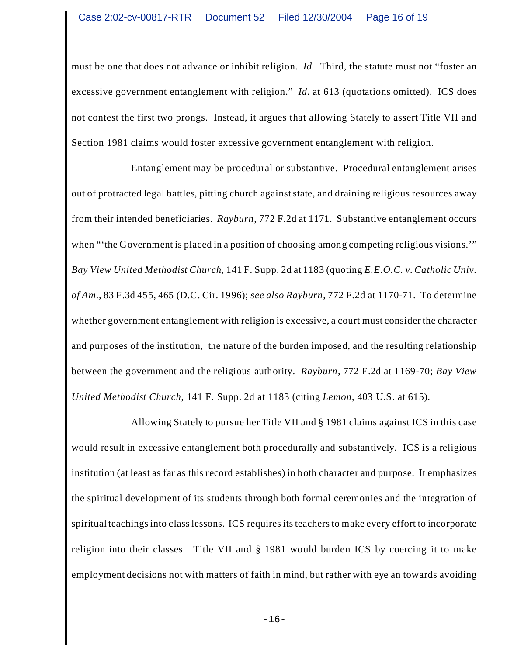must be one that does not advance or inhibit religion. *Id.* Third, the statute must not "foster an excessive government entanglement with religion." *Id.* at 613 (quotations omitted). ICS does not contest the first two prongs. Instead, it argues that allowing Stately to assert Title VII and Section 1981 claims would foster excessive government entanglement with religion.

Entanglement may be procedural or substantive. Procedural entanglement arises out of protracted legal battles, pitting church against state, and draining religious resources away from their intended beneficiaries. *Rayburn*, 772 F.2d at 1171. Substantive entanglement occurs when "the Government is placed in a position of choosing among competing religious visions." *Bay View United Methodist Church*, 141 F. Supp. 2d at 1183 (quoting *E.E.O.C. v. Catholic Univ. of Am.*, 83 F.3d 455, 465 (D.C. Cir. 1996); *see also Rayburn*, 772 F.2d at 1170-71. To determine whether government entanglement with religion is excessive, a court must consider the character and purposes of the institution, the nature of the burden imposed, and the resulting relationship between the government and the religious authority. *Rayburn*, 772 F.2d at 1169-70; *Bay View United Methodist Church*, 141 F. Supp. 2d at 1183 (citing *Lemon*, 403 U.S. at 615).

Allowing Stately to pursue her Title VII and § 1981 claims against ICS in this case would result in excessive entanglement both procedurally and substantively. ICS is a religious institution (at least as far as this record establishes) in both character and purpose. It emphasizes the spiritual development of its students through both formal ceremonies and the integration of spiritual teachings into class lessons. ICS requires its teachers to make every effort to incorporate religion into their classes. Title VII and § 1981 would burden ICS by coercing it to make employment decisions not with matters of faith in mind, but rather with eye an towards avoiding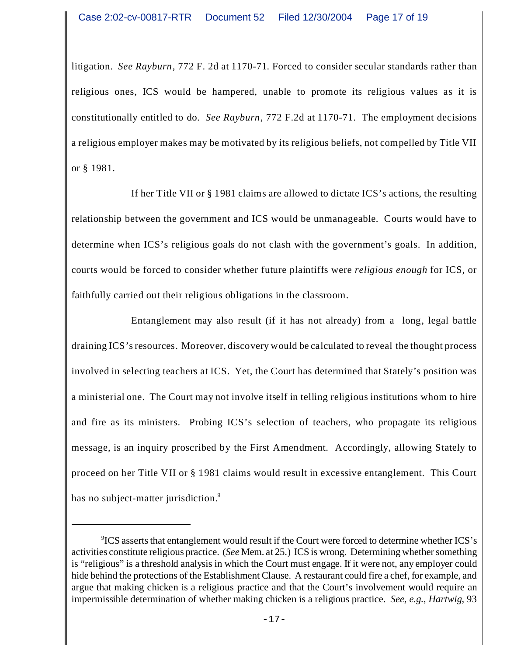litigation. *See Rayburn*, 772 F. 2d at 1170-71*.* Forced to consider secular standards rather than religious ones, ICS would be hampered, unable to promote its religious values as it is constitutionally entitled to do. *See Rayburn*, 772 F.2d at 1170-71. The employment decisions a religious employer makes may be motivated by its religious beliefs, not compelled by Title VII or § 1981.

If her Title VII or § 1981 claims are allowed to dictate ICS's actions, the resulting relationship between the government and ICS would be unmanageable. Courts would have to determine when ICS's religious goals do not clash with the government's goals. In addition, courts would be forced to consider whether future plaintiffs were *religious enough* for ICS, or faithfully carried out their religious obligations in the classroom.

Entanglement may also result (if it has not already) from a long, legal battle draining ICS's resources. Moreover, discovery would be calculated to reveal the thought process involved in selecting teachers at ICS. Yet, the Court has determined that Stately's position was a ministerial one. The Court may not involve itself in telling religious institutions whom to hire and fire as its ministers. Probing ICS's selection of teachers, who propagate its religious message, is an inquiry proscribed by the First Amendment. Accordingly, allowing Stately to proceed on her Title VII or § 1981 claims would result in excessive entanglement. This Court has no subject-matter jurisdiction.<sup>9</sup>

<sup>9</sup> ICS asserts that entanglement would result if the Court were forced to determine whether ICS's activities constitute religious practice. (*See* Mem. at 25.) ICS is wrong. Determining whether something is "religious" is a threshold analysis in which the Court must engage. If it were not, any employer could hide behind the protections of the Establishment Clause. A restaurant could fire a chef, for example, and argue that making chicken is a religious practice and that the Court's involvement would require an impermissible determination of whether making chicken is a religious practice. *See, e.g.*, *Hartwig*, 93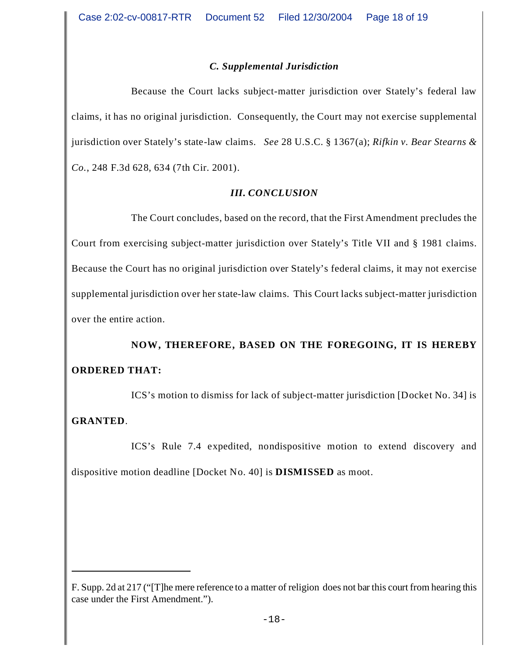# *C. Supplemental Jurisdiction*

Because the Court lacks subject-matter jurisdiction over Stately's federal law claims, it has no original jurisdiction. Consequently, the Court may not exercise supplemental jurisdiction over Stately's state-law claims. *See* 28 U.S.C. § 1367(a); *Rifkin v. Bear Stearns & Co.*, 248 F.3d 628, 634 (7th Cir. 2001).

## *III. CONCLUSION*

The Court concludes, based on the record, that the First Amendment precludes the Court from exercising subject-matter jurisdiction over Stately's Title VII and § 1981 claims. Because the Court has no original jurisdiction over Stately's federal claims, it may not exercise supplemental jurisdiction over her state-law claims. This Court lacks subject-matter jurisdiction over the entire action.

# **NOW, THEREFORE, BASED ON THE FOREGOING, IT IS HEREBY ORDERED THAT:**

ICS's motion to dismiss for lack of subject-matter jurisdiction [Docket No. 34] is **GRANTED**.

ICS's Rule 7.4 expedited, nondispositive motion to extend discovery and dispositive motion deadline [Docket No. 40] is **DISMISSED** as moot.

F. Supp. 2d at 217 ("[T]he mere reference to a matter of religion does not bar this court from hearing this case under the First Amendment.").